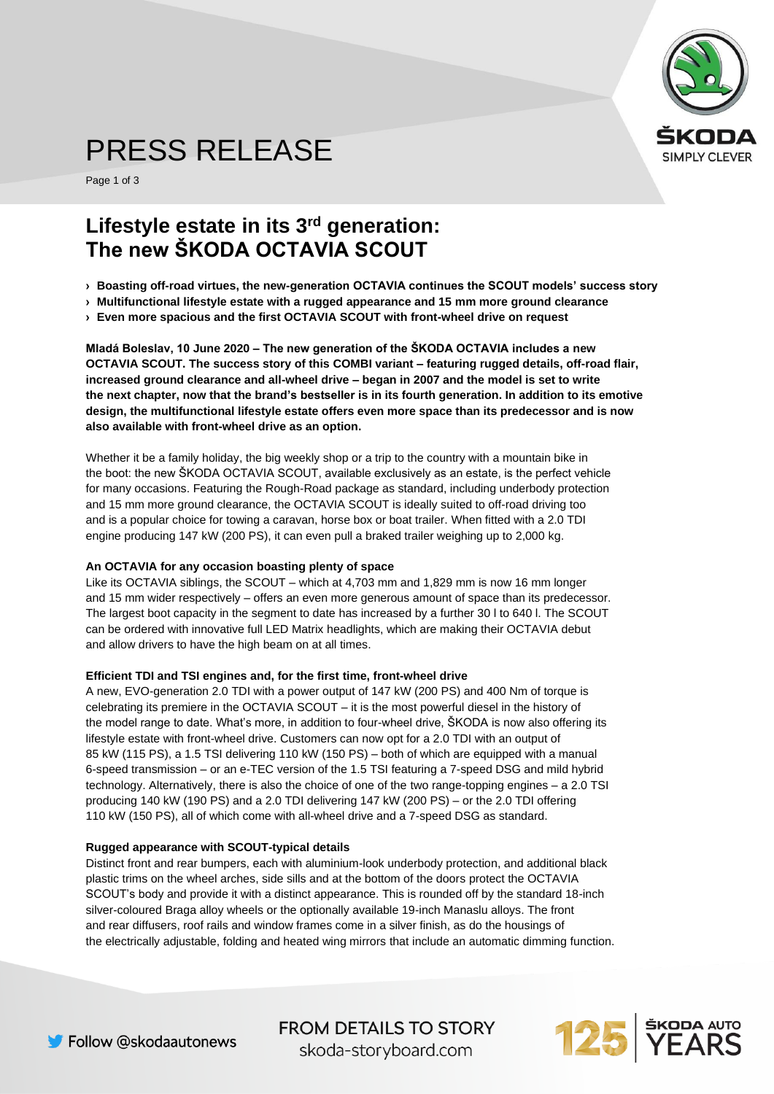

125 YEARS

# PRESS RELEASE

Page 1 of 3

# **Lifestyle estate in its 3rd generation: The new ŠKODA OCTAVIA SCOUT**

- **› Boasting off-road virtues, the new-generation OCTAVIA continues the SCOUT models' success story**
- **› Multifunctional lifestyle estate with a rugged appearance and 15 mm more ground clearance**
- **› Even more spacious and the first OCTAVIA SCOUT with front-wheel drive on request**

**Mladá Boleslav, 10 June 2020 – The new generation of the ŠKODA OCTAVIA includes a new OCTAVIA SCOUT. The success story of this COMBI variant – featuring rugged details, off-road flair, increased ground clearance and all-wheel drive – began in 2007 and the model is set to write the next chapter, now that the brand's bestseller is in its fourth generation. In addition to its emotive design, the multifunctional lifestyle estate offers even more space than its predecessor and is now also available with front-wheel drive as an option.**

Whether it be a family holiday, the big weekly shop or a trip to the country with a mountain bike in the boot: the new ŠKODA OCTAVIA SCOUT, available exclusively as an estate, is the perfect vehicle for many occasions. Featuring the Rough-Road package as standard, including underbody protection and 15 mm more ground clearance, the OCTAVIA SCOUT is ideally suited to off-road driving too and is a popular choice for towing a caravan, horse box or boat trailer. When fitted with a 2.0 TDI engine producing 147 kW (200 PS), it can even pull a braked trailer weighing up to 2,000 kg.

## **An OCTAVIA for any occasion boasting plenty of space**

Like its OCTAVIA siblings, the SCOUT – which at 4,703 mm and 1,829 mm is now 16 mm longer and 15 mm wider respectively – offers an even more generous amount of space than its predecessor. The largest boot capacity in the segment to date has increased by a further 30 l to 640 l. The SCOUT can be ordered with innovative full LED Matrix headlights, which are making their OCTAVIA debut and allow drivers to have the high beam on at all times.

## **Efficient TDI and TSI engines and, for the first time, front-wheel drive**

A new, EVO-generation 2.0 TDI with a power output of 147 kW (200 PS) and 400 Nm of torque is celebrating its premiere in the OCTAVIA SCOUT – it is the most powerful diesel in the history of the model range to date. What's more, in addition to four-wheel drive, ŠKODA is now also offering its lifestyle estate with front-wheel drive. Customers can now opt for a 2.0 TDI with an output of 85 kW (115 PS), a 1.5 TSI delivering 110 kW (150 PS) – both of which are equipped with a manual 6-speed transmission – or an e-TEC version of the 1.5 TSI featuring a 7-speed DSG and mild hybrid technology. Alternatively, there is also the choice of one of the two range-topping engines – a 2.0 TSI producing 140 kW (190 PS) and a 2.0 TDI delivering 147 kW (200 PS) – or the 2.0 TDI offering 110 kW (150 PS), all of which come with all-wheel drive and a 7-speed DSG as standard.

## **Rugged appearance with SCOUT-typical details**

Distinct front and rear bumpers, each with aluminium-look underbody protection, and additional black plastic trims on the wheel arches, side sills and at the bottom of the doors protect the OCTAVIA SCOUT's body and provide it with a distinct appearance. This is rounded off by the standard 18-inch silver-coloured Braga alloy wheels or the optionally available 19-inch Manaslu alloys. The front and rear diffusers, roof rails and window frames come in a silver finish, as do the housings of the electrically adjustable, folding and heated wing mirrors that include an automatic dimming function.

> **FROM DETAILS TO STORY** skoda-storyboard.com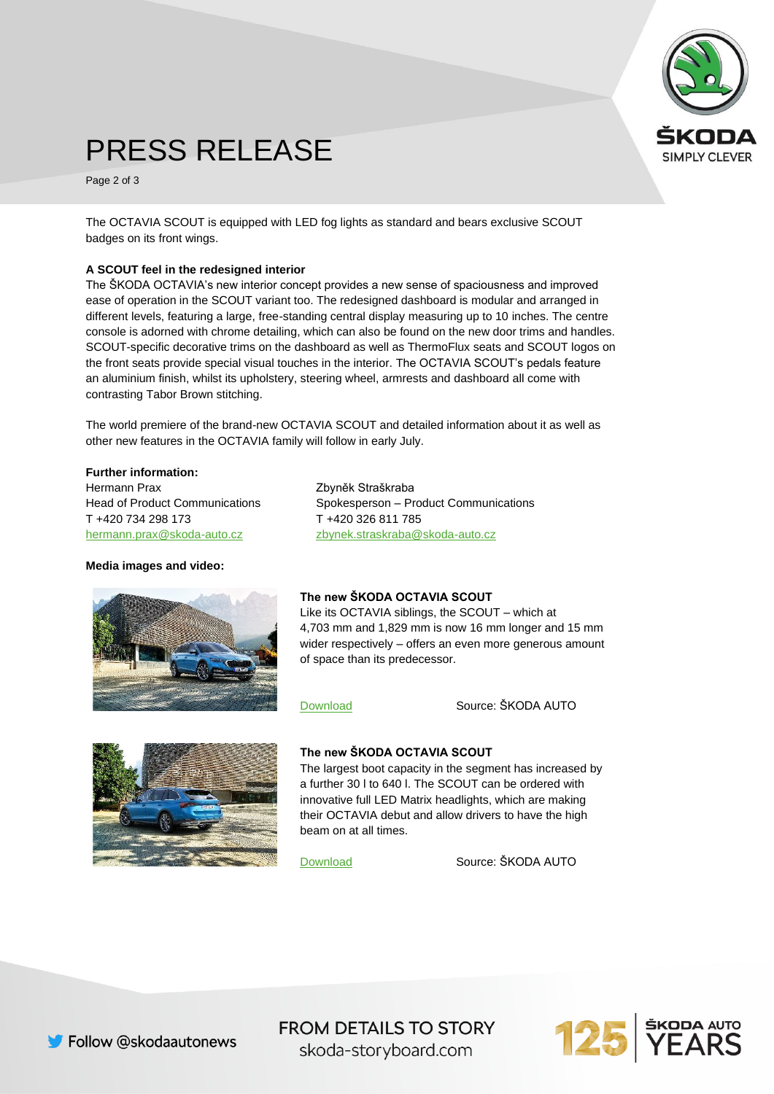

# PRESS RELEASE

Page 2 of 3

The OCTAVIA SCOUT is equipped with LED fog lights as standard and bears exclusive SCOUT badges on its front wings.

#### **A SCOUT feel in the redesigned interior**

The ŠKODA OCTAVIA's new interior concept provides a new sense of spaciousness and improved ease of operation in the SCOUT variant too. The redesigned dashboard is modular and arranged in different levels, featuring a large, free-standing central display measuring up to 10 inches. The centre console is adorned with chrome detailing, which can also be found on the new door trims and handles. SCOUT-specific decorative trims on the dashboard as well as ThermoFlux seats and SCOUT logos on the front seats provide special visual touches in the interior. The OCTAVIA SCOUT's pedals feature an aluminium finish, whilst its upholstery, steering wheel, armrests and dashboard all come with contrasting Tabor Brown stitching.

The world premiere of the brand-new OCTAVIA SCOUT and detailed information about it as well as other new features in the OCTAVIA family will follow in early July.

#### **Further information:**

Hermann Prax **Zbyněk Straškraba** Head of Product Communications Spokesperson – Product Communications T +420 734 298 173 T +420 326 811 785 [hermann.prax@skoda-auto.cz](mailto:hermann.prax@skoda-auto.cz) zbynek.straskraba@skoda-auto.cz

#### **Media images and video:**



# **The new ŠKODA OCTAVIA SCOUT**

Like its OCTAVIA siblings, the SCOUT – which at 4,703 mm and 1,829 mm is now 16 mm longer and 15 mm wider respectively – offers an even more generous amount of space than its predecessor.



[Download](https://cdn.skoda-storyboard.com/2020/06/1-Octavia_SCOUT_2069_FRONT_F2.jpg) Source: ŠKODA AUTO



#### **The new ŠKODA OCTAVIA SCOUT**

The largest boot capacity in the segment has increased by a further 30 l to 640 l. The SCOUT can be ordered with innovative full LED Matrix headlights, which are making their OCTAVIA debut and allow drivers to have the high beam on at all times.

[Download](https://cdn.skoda-storyboard.com/2020/06/2-Octavia_SCOUT_2066_REAR_F2-1.jpg) Source: ŠKODA AUTO

**FROM DETAILS TO STORY** skoda-storyboard.com



**125 YEARS**